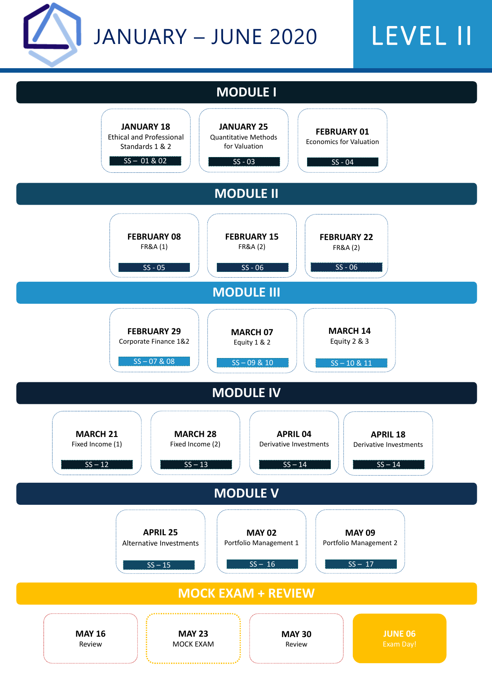# LEVEL II

|                   | <b>FEBRUARY 08</b><br><b>FR&amp;A (1)</b>              | <b>FEBRUARY 15</b><br><b>FR&amp;A (2)</b> | <b>FEBRUARY 22</b><br><b>FR&amp;A (2)</b> |  |
|-------------------|--------------------------------------------------------|-------------------------------------------|-------------------------------------------|--|
|                   | $SS - 05$                                              | $SS - 06$                                 | $SS - 06$                                 |  |
| <b>MODULE III</b> |                                                        |                                           |                                           |  |
|                   |                                                        |                                           |                                           |  |
|                   | <b>FEBRUARY 29</b><br><b>Corporate Finance 1&amp;2</b> | <b>MARCH 07</b><br>Equity 1 & 2           | <b>MARCH 14</b><br>Equity 2 & 3           |  |



#### **JANUARY 25** Quantitative Methods for Valuation **FEBRUARY 01** Economics for Valuation **MODULE I**  $SS - 03$  SS - 04 **JANUARY 18** Ethical and Professional Standards 1 & 2 SS – 01 & 02

#### **MODULE II**